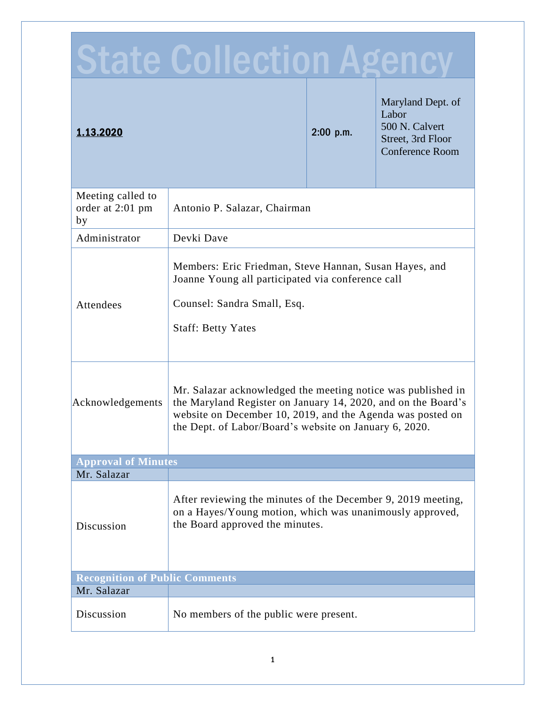| $\Box$                                      |                                                                                                                                                                                                                                                      |             |                                                                                             |  |
|---------------------------------------------|------------------------------------------------------------------------------------------------------------------------------------------------------------------------------------------------------------------------------------------------------|-------------|---------------------------------------------------------------------------------------------|--|
| 1.13.2020                                   |                                                                                                                                                                                                                                                      | $2:00$ p.m. | Maryland Dept. of<br>Labor<br>500 N. Calvert<br>Street, 3rd Floor<br><b>Conference Room</b> |  |
| Meeting called to<br>order at 2:01 pm<br>by | Antonio P. Salazar, Chairman                                                                                                                                                                                                                         |             |                                                                                             |  |
| Administrator                               | Devki Dave                                                                                                                                                                                                                                           |             |                                                                                             |  |
| Attendees                                   | Members: Eric Friedman, Steve Hannan, Susan Hayes, and<br>Joanne Young all participated via conference call<br>Counsel: Sandra Small, Esq.<br><b>Staff: Betty Yates</b>                                                                              |             |                                                                                             |  |
| Acknowledgements                            | Mr. Salazar acknowledged the meeting notice was published in<br>the Maryland Register on January 14, 2020, and on the Board's<br>website on December 10, 2019, and the Agenda was posted on<br>the Dept. of Labor/Board's website on January 6, 2020 |             |                                                                                             |  |
| <b>Approval of Minutes</b>                  |                                                                                                                                                                                                                                                      |             |                                                                                             |  |
| Mr. Salazar                                 |                                                                                                                                                                                                                                                      |             |                                                                                             |  |
| Discussion                                  | After reviewing the minutes of the December 9, 2019 meeting,<br>on a Hayes/Young motion, which was unanimously approved,<br>the Board approved the minutes.                                                                                          |             |                                                                                             |  |
| <b>Recognition of Public Comments</b>       |                                                                                                                                                                                                                                                      |             |                                                                                             |  |
| Mr. Salazar                                 |                                                                                                                                                                                                                                                      |             |                                                                                             |  |
| Discussion                                  | No members of the public were present.                                                                                                                                                                                                               |             |                                                                                             |  |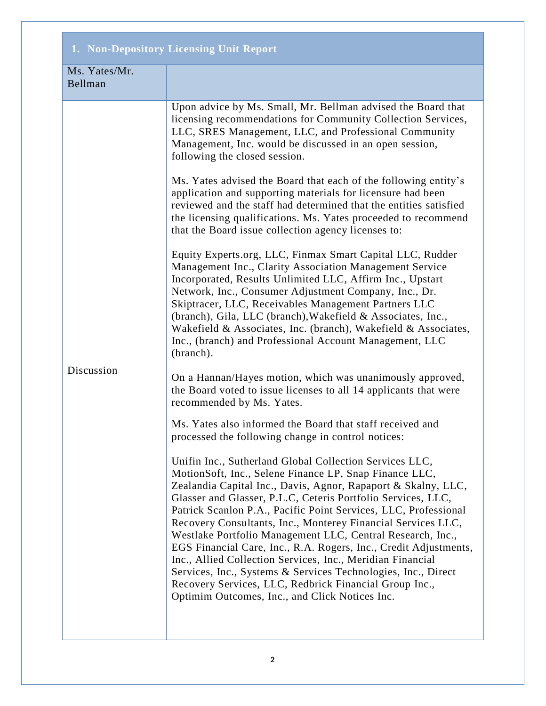## **1. Non-Depository Licensing Unit Report**

| Ms. Yates/Mr.<br>Bellman |                                                                                                                                                                                                                                                                                                                                                                                                                                                                                                                                                                                                                                                                                                                                                                    |
|--------------------------|--------------------------------------------------------------------------------------------------------------------------------------------------------------------------------------------------------------------------------------------------------------------------------------------------------------------------------------------------------------------------------------------------------------------------------------------------------------------------------------------------------------------------------------------------------------------------------------------------------------------------------------------------------------------------------------------------------------------------------------------------------------------|
| Discussion               | Upon advice by Ms. Small, Mr. Bellman advised the Board that<br>licensing recommendations for Community Collection Services,<br>LLC, SRES Management, LLC, and Professional Community<br>Management, Inc. would be discussed in an open session,<br>following the closed session.                                                                                                                                                                                                                                                                                                                                                                                                                                                                                  |
|                          | Ms. Yates advised the Board that each of the following entity's<br>application and supporting materials for licensure had been<br>reviewed and the staff had determined that the entities satisfied<br>the licensing qualifications. Ms. Yates proceeded to recommend<br>that the Board issue collection agency licenses to:                                                                                                                                                                                                                                                                                                                                                                                                                                       |
|                          | Equity Experts.org, LLC, Finmax Smart Capital LLC, Rudder<br>Management Inc., Clarity Association Management Service<br>Incorporated, Results Unlimited LLC, Affirm Inc., Upstart<br>Network, Inc., Consumer Adjustment Company, Inc., Dr.<br>Skiptracer, LLC, Receivables Management Partners LLC<br>(branch), Gila, LLC (branch), Wakefield & Associates, Inc.,<br>Wakefield & Associates, Inc. (branch), Wakefield & Associates,<br>Inc., (branch) and Professional Account Management, LLC<br>(branch).                                                                                                                                                                                                                                                        |
|                          | On a Hannan/Hayes motion, which was unanimously approved,<br>the Board voted to issue licenses to all 14 applicants that were<br>recommended by Ms. Yates.                                                                                                                                                                                                                                                                                                                                                                                                                                                                                                                                                                                                         |
|                          | Ms. Yates also informed the Board that staff received and<br>processed the following change in control notices:                                                                                                                                                                                                                                                                                                                                                                                                                                                                                                                                                                                                                                                    |
|                          | Unifin Inc., Sutherland Global Collection Services LLC,<br>MotionSoft, Inc., Selene Finance LP, Snap Finance LLC,<br>Zealandia Capital Inc., Davis, Agnor, Rapaport & Skalny, LLC,<br>Glasser and Glasser, P.L.C, Ceteris Portfolio Services, LLC,<br>Patrick Scanlon P.A., Pacific Point Services, LLC, Professional<br>Recovery Consultants, Inc., Monterey Financial Services LLC,<br>Westlake Portfolio Management LLC, Central Research, Inc.,<br>EGS Financial Care, Inc., R.A. Rogers, Inc., Credit Adjustments,<br>Inc., Allied Collection Services, Inc., Meridian Financial<br>Services, Inc., Systems & Services Technologies, Inc., Direct<br>Recovery Services, LLC, Redbrick Financial Group Inc.,<br>Optimim Outcomes, Inc., and Click Notices Inc. |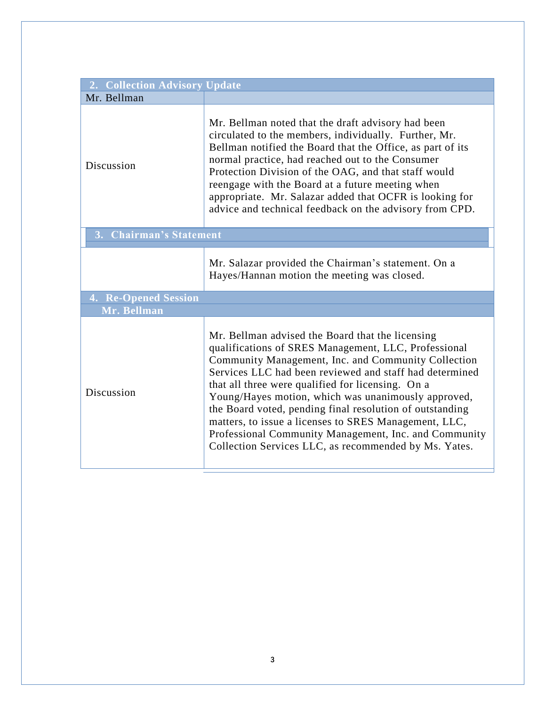| 2. Collection Advisory Update     |                                                                                                                                                                                                                                                                                                                                                                                                                                                                                                                                                                               |  |  |
|-----------------------------------|-------------------------------------------------------------------------------------------------------------------------------------------------------------------------------------------------------------------------------------------------------------------------------------------------------------------------------------------------------------------------------------------------------------------------------------------------------------------------------------------------------------------------------------------------------------------------------|--|--|
| Mr. Bellman                       |                                                                                                                                                                                                                                                                                                                                                                                                                                                                                                                                                                               |  |  |
| Discussion                        | Mr. Bellman noted that the draft advisory had been<br>circulated to the members, individually. Further, Mr.<br>Bellman notified the Board that the Office, as part of its<br>normal practice, had reached out to the Consumer<br>Protection Division of the OAG, and that staff would<br>reengage with the Board at a future meeting when<br>appropriate. Mr. Salazar added that OCFR is looking for<br>advice and technical feedback on the advisory from CPD.                                                                                                               |  |  |
| <b>Chairman's Statement</b><br>3. |                                                                                                                                                                                                                                                                                                                                                                                                                                                                                                                                                                               |  |  |
|                                   | Mr. Salazar provided the Chairman's statement. On a<br>Hayes/Hannan motion the meeting was closed.                                                                                                                                                                                                                                                                                                                                                                                                                                                                            |  |  |
| <b>4. Re-Opened Session</b>       |                                                                                                                                                                                                                                                                                                                                                                                                                                                                                                                                                                               |  |  |
| Mr. Bellman                       |                                                                                                                                                                                                                                                                                                                                                                                                                                                                                                                                                                               |  |  |
| Discussion                        | Mr. Bellman advised the Board that the licensing<br>qualifications of SRES Management, LLC, Professional<br>Community Management, Inc. and Community Collection<br>Services LLC had been reviewed and staff had determined<br>that all three were qualified for licensing. On a<br>Young/Hayes motion, which was unanimously approved,<br>the Board voted, pending final resolution of outstanding<br>matters, to issue a licenses to SRES Management, LLC,<br>Professional Community Management, Inc. and Community<br>Collection Services LLC, as recommended by Ms. Yates. |  |  |